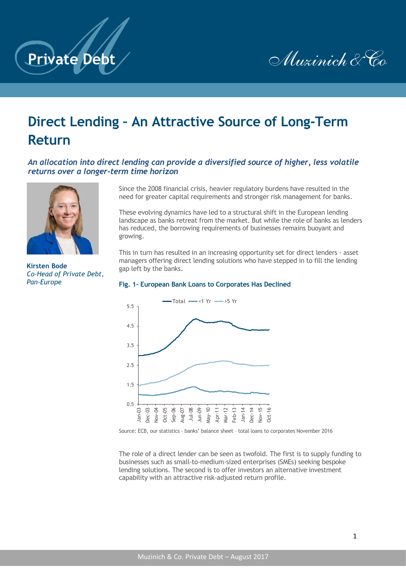



# **Direct Lending – An Attractive Source of Long-Term Return**

## *An allocation into direct lending can provide a diversified source of higher, less volatile returns over a longer-term time horizon*



**Kirsten Bode** *Co-Head of Private Debt, Pan-Europe*

Since the 2008 financial crisis, heavier regulatory burdens have resulted in the need for greater capital requirements and stronger risk management for banks.

These evolving dynamics have led to a structural shift in the European lending landscape as banks retreat from the market. But while the role of banks as lenders has reduced, the borrowing requirements of businesses remains buoyant and growing.

This in turn has resulted in an increasing opportunity set for direct lenders - asset managers offering direct lending solutions who have stepped in to fill the lending gap left by the banks.

#### **Fig. 1- European Bank Loans to Corporates Has Declined**



Source: ECB, our statistics - banks' balance sheet – total loans to corporates November 2016

The role of a direct lender can be seen as twofold. The first is to supply funding to businesses such as small-to-medium-sized enterprises (SMEs) seeking bespoke lending solutions. The second is to offer investors an alternative investment capability with an attractive risk-adjusted return profile.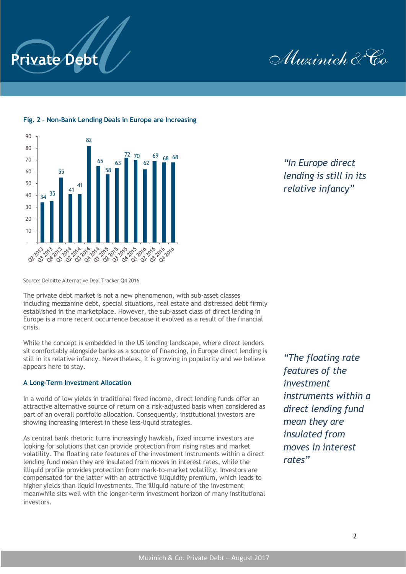

Muzinich & Co



## **Fig. 2 – Non-Bank Lending Deals in Europe are Increasing**

*"In Europe direct lending is still in its relative infancy"*

Source: Deloitte Alternative Deal Tracker Q4 2016

The private debt market is not a new phenomenon, with sub-asset classes including mezzanine debt, special situations, real estate and distressed debt firmly established in the marketplace. However, the sub-asset class of direct lending in Europe is a more recent occurrence because it evolved as a result of the financial crisis.

While the concept is embedded in the US lending landscape, where direct lenders sit comfortably alongside banks as a source of financing, in Europe direct lending is still in its relative infancy. Nevertheless, it is growing in popularity and we believe appears here to stay.

#### **A Long-Term Investment Allocation**

In a world of low yields in traditional fixed income, direct lending funds offer an attractive alternative source of return on a risk-adjusted basis when considered as part of an overall portfolio allocation. Consequently, institutional investors are showing increasing interest in these less-liquid strategies.

As central bank rhetoric turns increasingly hawkish, fixed income investors are looking for solutions that can provide protection from rising rates and market volatility. The floating rate features of the investment instruments within a direct lending fund mean they are insulated from moves in interest rates, while the illiquid profile provides protection from mark-to-market volatility. Investors are compensated for the latter with an attractive illiquidity premium, which leads to higher yields than liquid investments. The illiquid nature of the investment meanwhile sits well with the longer-term investment horizon of many institutional investors.

*"The floating rate features of the investment instruments within a direct lending fund mean they are insulated from moves in interest rates"*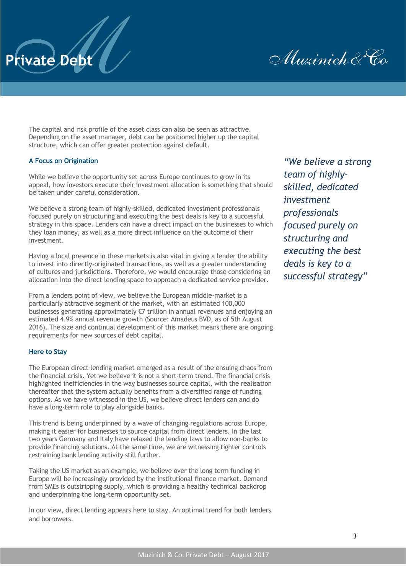

The capital and risk profile of the asset class can also be seen as attractive. Depending on the asset manager, debt can be positioned higher up the capital structure, which can offer greater protection against default.

## **A Focus on Origination**

**Private Debt**

While we believe the opportunity set across Europe continues to grow in its appeal, how investors execute their investment allocation is something that should be taken under careful consideration.

We believe a strong team of highly-skilled, dedicated investment professionals focused purely on structuring and executing the best deals is key to a successful strategy in this space. Lenders can have a direct impact on the businesses to which they loan money, as well as a more direct influence on the outcome of their investment.

Having a local presence in these markets is also vital in giving a lender the ability to invest into directly-originated transactions, as well as a greater understanding of cultures and jurisdictions. Therefore, we would encourage those considering an allocation into the direct lending space to approach a dedicated service provider.

From a lenders point of view, we believe the European middle-market is a particularly attractive segment of the market, with an estimated 100,000 businesses generating approximately €7 trillion in annual revenues and enjoying an estimated 4.9% annual revenue growth (Source: Amadeus BVD, as of 5th August 2016). The size and continual development of this market means there are ongoing requirements for new sources of debt capital.

### **Here to Stay**

The European direct lending market emerged as a result of the ensuing chaos from the financial crisis. Yet we believe it is not a short-term trend. The financial crisis highlighted inefficiencies in the way businesses source capital, with the realisation thereafter that the system actually benefits from a diversified range of funding options. As we have witnessed in the US, we believe direct lenders can and do have a long-term role to play alongside banks.

This trend is being underpinned by a wave of changing regulations across Europe, making it easier for businesses to source capital from direct lenders. In the last two years Germany and Italy have relaxed the lending laws to allow non-banks to provide financing solutions. At the same time, we are witnessing tighter controls restraining bank lending activity still further.

Taking the US market as an example, we believe over the long term funding in Europe will be increasingly provided by the institutional finance market. Demand from SMEs is outstripping supply, which is providing a healthy technical backdrop and underpinning the long-term opportunity set.

In our view, direct lending appears here to stay. An optimal trend for both lenders and borrowers.

*"We believe a strong team of highlyskilled, dedicated investment professionals focused purely on structuring and executing the best deals is key to a successful strategy"*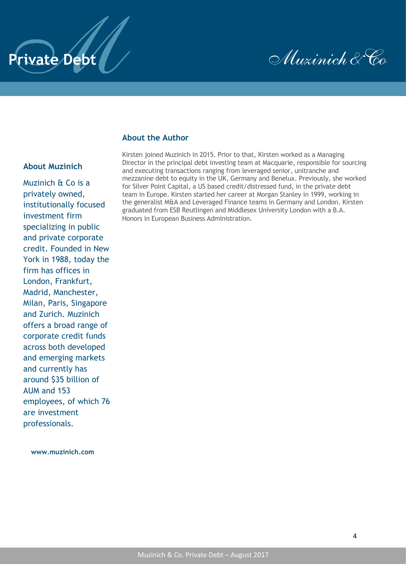



## **About the Author**

## **About Muzinich**

Muzinich & Co is a privately owned, institutionally focused investment firm specializing in public and private corporate credit. Founded in New York in 1988, today the firm has offices in London, Frankfurt, Madrid, Manchester, Milan, Paris, Singapore and Zurich. Muzinich offers a broad range of corporate credit funds across both developed and emerging markets and currently has around \$35 billion of AUM and 153 employees, of which 76 are investment professionals.

**[www.muzinich.com](http://www.muzinich.com/)**

Kirsten joined Muzinich in 2015. Prior to that, Kirsten worked as a Managing Director in the principal debt investing team at Macquarie, responsible for sourcing and executing transactions ranging from leveraged senior, unitranche and mezzanine debt to equity in the UK, Germany and Benelux. Previously, she worked for Silver Point Capital, a US based credit/distressed fund, in the private debt team in Europe. Kirsten started her career at Morgan Stanley in 1999, working in the generalist M&A and Leveraged Finance teams in Germany and London. Kirsten graduated from ESB Reutlingen and Middlesex University London with a B.A. Honors in European Business Administration.